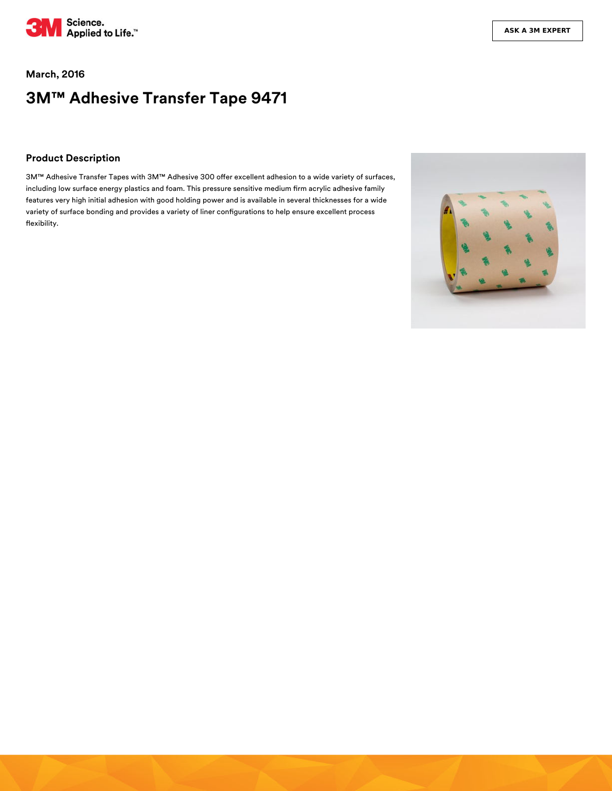

### **March, 2016**

# **3M™ Adhesive Transfer Tape 9471**

### **Product Description**

3M™ Adhesive Transfer Tapes with 3M™ Adhesive 300 offer excellent adhesion to a wide variety of surfaces, including low surface energy plastics and foam. This pressure sensitive medium firm acrylic adhesive family features very high initial adhesion with good holding power and is available in several thicknesses for a wide variety of surface bonding and provides a variety of liner configurations to help ensure excellent process flexibility.

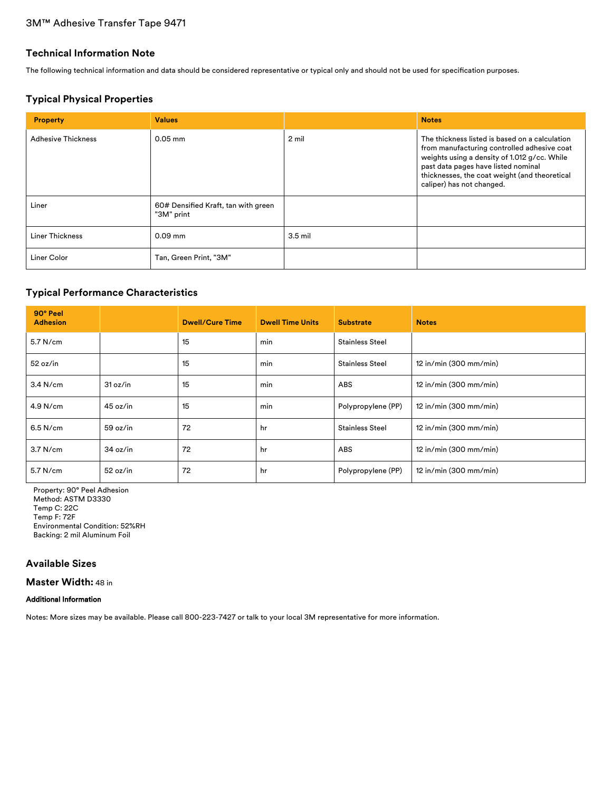# 3M™ Adhesive Transfer Tape 9471

### **Technical Information Note**

The following technical information and data should be considered representative or typical only and should not be used for specification purposes.

### **Typical Physical Properties**

| <b>Property</b>           | <b>Values</b>                                     |           | <b>Notes</b>                                                                                                                                                                                                                                                       |
|---------------------------|---------------------------------------------------|-----------|--------------------------------------------------------------------------------------------------------------------------------------------------------------------------------------------------------------------------------------------------------------------|
| <b>Adhesive Thickness</b> | $0.05$ mm                                         | 2 mil     | The thickness listed is based on a calculation<br>from manufacturing controlled adhesive coat<br>weights using a density of 1.012 g/cc. While<br>past data pages have listed nominal<br>thicknesses, the coat weight (and theoretical<br>caliper) has not changed. |
| Liner                     | 60# Densified Kraft, tan with green<br>"3M" print |           |                                                                                                                                                                                                                                                                    |
| Liner Thickness           | $0.09$ mm                                         | $3.5$ mil |                                                                                                                                                                                                                                                                    |
| Liner Color               | Tan, Green Print, "3M"                            |           |                                                                                                                                                                                                                                                                    |

# **Typical Performance Characteristics**

| 90° Peel<br><b>Adhesion</b> |          | <b>Dwell/Cure Time</b> | <b>Dwell Time Units</b> | <b>Substrate</b>       | <b>Notes</b>             |
|-----------------------------|----------|------------------------|-------------------------|------------------------|--------------------------|
| 5.7 N/cm                    |          | 15                     | min                     | <b>Stainless Steel</b> |                          |
| 52 oz/in                    |          | 15                     | min                     | <b>Stainless Steel</b> | 12 in/min (300 mm/min)   |
| $3.4$ N/cm                  | 31 oz/in | 15                     | min                     | <b>ABS</b>             | $12$ in/min (300 mm/min) |
| 4.9 N/cm                    | 45 oz/in | 15                     | min                     | Polypropylene (PP)     | 12 in/min (300 mm/min)   |
| $6.5$ N/cm                  | 59 oz/in | 72                     | hr                      | <b>Stainless Steel</b> | 12 in/min (300 mm/min)   |
| 3.7 N/cm                    | 34 oz/in | 72                     | hr                      | ABS                    | $12$ in/min (300 mm/min) |
| 5.7 N/cm                    | 52 oz/in | 72                     | hr                      | Polypropylene (PP)     | 12 in/min (300 mm/min)   |

Property: 90° Peel Adhesion Method: ASTM D3330 Temp C: 22C Temp F: 72F Environmental Condition: 52%RH Backing: 2 mil Aluminum Foil

# **Available Sizes**

**Master Width:** 48 in

#### Additional Information

Notes: More sizes may be available. Please call 800-223-7427 or talk to your local 3M representative for more information.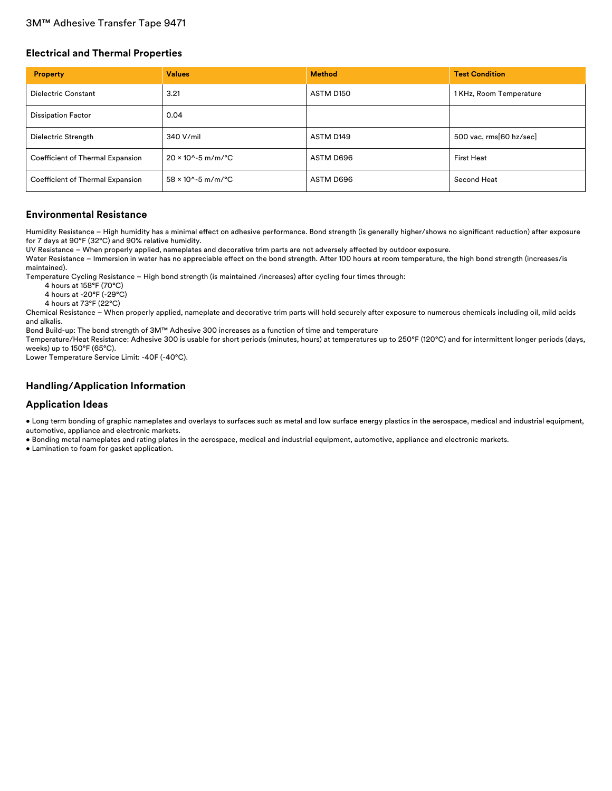# 3M™ Adhesive Transfer Tape 9471

### **Electrical and Thermal Properties**

| <b>Property</b>                  | <b>Values</b>                         | <b>Method</b> | <b>Test Condition</b>   |
|----------------------------------|---------------------------------------|---------------|-------------------------|
| <b>Dielectric Constant</b>       | 3.21                                  | ASTM D150     | 1 KHz, Room Temperature |
| <b>Dissipation Factor</b>        | 0.04                                  |               |                         |
| Dielectric Strength              | 340 V/mil                             | ASTM D149     | 500 vac, rms[60 hz/sec] |
| Coefficient of Thermal Expansion | $20 \times 10^{6} - 5$ m/m/°C         | ASTM D696     | <b>First Heat</b>       |
| Coefficient of Thermal Expansion | $58 \times 10^{6} - 5 \text{ m/m}$ °C | ASTM D696     | Second Heat             |

#### **Environmental Resistance**

Humidity Resistance - High humidity has a minimal effect on adhesive performance. Bond strength (is generally higher/shows no significant reduction) after exposure for 7 days at 90°F (32°C) and 90% relative humidity.

UV Resistance - When properly applied, nameplates and decorative trim parts are not adversely affected by outdoor exposure.

Water Resistance – Immersion in water has no appreciable effect on the bond strength. After 100 hours at room temperature, the high bond strength (increases/is maintained).

Temperature Cycling Resistance – High bond strength (is maintained /increases) after cycling four times through:

4 hours at 158°F (70°C)

4 hours at -20°F (-29°C)

4 hours at 73°F (22°C)

Chemical Resistance – When properly applied, nameplate and decorative trim parts will hold securely after exposure to numerous chemicals including oil, mild acids and alkalis.

Bond Build-up: The bond strength of 3M™ Adhesive 300 increases as a function of time and temperature

Temperature/Heat Resistance: Adhesive 300 is usable for short periods (minutes, hours) at temperatures up to 250°F (120°C) and for intermittent longer periods (days, weeks) up to 150°F (65°C).

Lower Temperature Service Limit: -40F (-40°C).

### **Handling/Application Information**

#### **Application Ideas**

• Long term bonding of graphic nameplates and overlays to surfaces such as metal and low surface energy plastics in the aerospace, medical and industrial equipment, automotive, appliance and electronic markets.

• Bonding metal nameplates and rating plates in the aerospace, medical and industrial equipment, automotive, appliance and electronic markets.

• Lamination to foam for gasket application.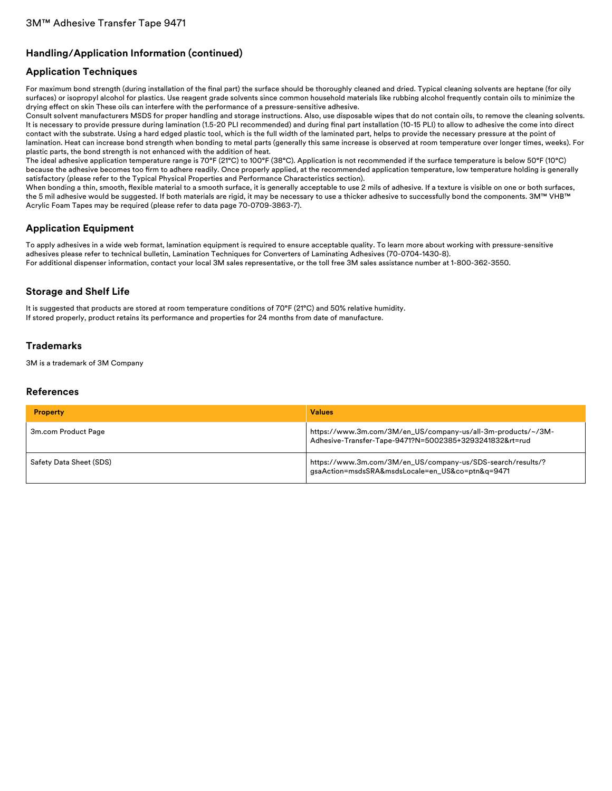# **Handling/Application Information (continued)**

### **Application Techniques**

For maximum bond strength (during installation of the final part) the surface should be thoroughly cleaned and dried. Typical cleaning solvents are heptane (for oily surfaces) or isopropyl alcohol for plastics. Use reagent grade solvents since common household materials like rubbing alcohol frequently contain oils to minimize the drying effect on skin These oils can interfere with the performance of a pressure-sensitive adhesive.

Consult solvent manufacturers MSDS for proper handling and storage instructions. Also, use disposable wipes that do not contain oils, to remove the cleaning solvents. It is necessary to provide pressure during lamination (1.5-20 PLI recommended) and during final part installation (10-15 PLI) to allow to adhesive the come into direct contact with the substrate. Using a hard edged plastic tool, which is the full width of the laminated part, helps to provide the necessary pressure at the point of lamination. Heat can increase bond strength when bonding to metal parts (generally this same increase is observed at room temperature over longer times, weeks). For plastic parts, the bond strength is not enhanced with the addition of heat.

The ideal adhesive application temperature range is 70°F (21°C) to 100°F (38°C). Application is not recommended if the surface temperature is below 50°F (10°C) because the adhesive becomes too firm to adhere readily. Once properly applied, at the recommended application temperature, low temperature holding is generally satisfactory (please refer to the Typical Physical Properties and Performance Characteristics section).

When bonding a thin, smooth, flexible material to a smooth surface, it is generally acceptable to use 2 mils of adhesive. If a texture is visible on one or both surfaces, the 5 mil adhesive would be suggested. If both materials are rigid, it may be necessary to use a thicker adhesive to successfully bond the components. 3M™ VHB™ Acrylic Foam Tapes may be required (please refer to data page 70-0709-3863-7).

# **Application Equipment**

To apply adhesives in a wide web format, lamination equipment is required to ensure acceptable quality. To learn more about working with pressure-sensitive adhesives please refer to technical bulletin, Lamination Techniques for Converters of Laminating Adhesives (70-0704-1430-8). For additional dispenser information, contact your local 3M sales representative, or the toll free 3M sales assistance number at 1-800-362-3550.

# **Storage and Shelf Life**

It is suggested that products are stored at room temperature conditions of 70°F (21°C) and 50% relative humidity. If stored properly, product retains its performance and properties for 24 months from date of manufacture.

### **Trademarks**

3M is a trademark of 3M Company

### **References**

| <b>Property</b>         | <b>Values</b>                                                                                                           |
|-------------------------|-------------------------------------------------------------------------------------------------------------------------|
| 3m.com Product Page     | https://www.3m.com/3M/en_US/company-us/all-3m-products/~/3M-<br>Adhesive-Transfer-Tape-9471?N=5002385+3293241832&rt=rud |
| Safety Data Sheet (SDS) | https://www.3m.com/3M/en_US/company-us/SDS-search/results/?<br>gsaAction=msdsSRA&msdsLocale=en_US&co=ptn&q=9471         |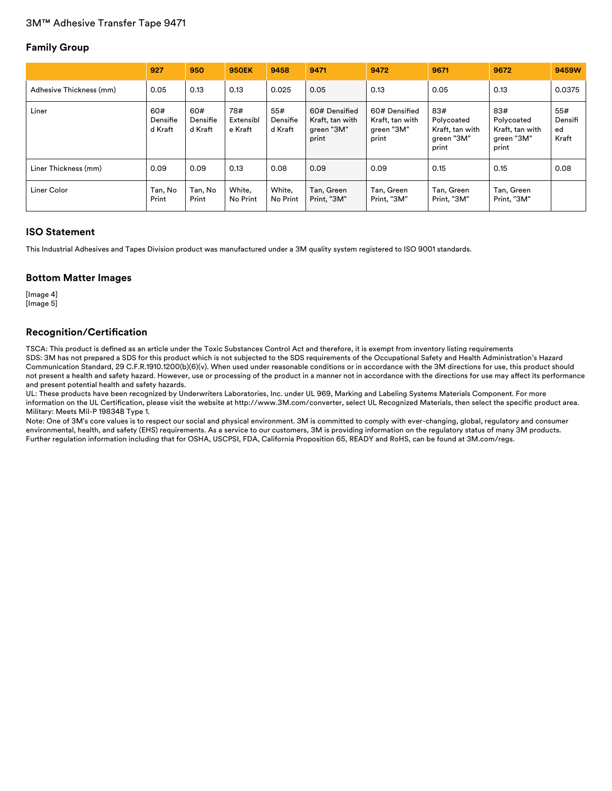# **Family Group**

|                         | 927                        | 950                        | <b>950EK</b>                | 9458                       | 9471                                                    | 9472                                                    | 9671                                                        | 9672                                                        | 9459W                         |
|-------------------------|----------------------------|----------------------------|-----------------------------|----------------------------|---------------------------------------------------------|---------------------------------------------------------|-------------------------------------------------------------|-------------------------------------------------------------|-------------------------------|
| Adhesive Thickness (mm) | 0.05                       | 0.13                       | 0.13                        | 0.025                      | 0.05                                                    | 0.13                                                    | 0.05                                                        | 0.13                                                        | 0.0375                        |
| Liner                   | 60#<br>Densifie<br>d Kraft | 60#<br>Densifie<br>d Kraft | 78#<br>Extensibl<br>e Kraft | 55#<br>Densifie<br>d Kraft | 60# Densified<br>Kraft, tan with<br>green "3M"<br>print | 60# Densified<br>Kraft, tan with<br>green "3M"<br>print | 83#<br>Polycoated<br>Kraft, tan with<br>green "3M"<br>print | 83#<br>Polycoated<br>Kraft, tan with<br>green "3M"<br>print | 55#<br>Densifi<br>ed<br>Kraft |
| Liner Thickness (mm)    | 0.09                       | 0.09                       | 0.13                        | 0.08                       | 0.09                                                    | 0.09                                                    | 0.15                                                        | 0.15                                                        | 0.08                          |
| Liner Color             | Tan, No<br>Print           | Tan, No<br>Print           | White,<br>No Print          | White.<br>No Print         | Tan, Green<br>Print, "3M"                               | Tan, Green<br>Print, "3M"                               | Tan, Green<br>Print, "3M"                                   | Tan, Green<br>Print, "3M"                                   |                               |

### **ISO Statement**

This Industrial Adhesives and Tapes Division product was manufactured under a 3M quality system registered to ISO 9001 standards.

### **Bottom Matter Images**

[Image 4] [Image 5]

### **Recognition/Certification**

TSCA: This product is defined as an article under the Toxic Substances Control Act and therefore, it is exempt from inventory listing requirements SDS: 3M has not prepared a SDS for this product which is not subjected to the SDS requirements of the Occupational Safety and Health Administration's Hazard Communication Standard, 29 C.F.R.1910.1200(b)(6)(v). When used under reasonable conditions or in accordance with the 3M directions for use, this product should not present a health and safety hazard. However, use or processing of the product in a manner not in accordance with the directions for use may affect its performance and present potential health and safety hazards.

UL: These products have been recognized by Underwriters Laboratories, Inc. under UL 969, Marking and Labeling Systems Materials Component. For more information on the UL Certification, please visit the website at http://www.3M.com/converter, select UL Recognized Materials, then select the specific product area. Military: Meets Mil-P 19834B Type 1.

Note: One of 3M's core values is to respect our social and physical environment. 3M is committed to comply with ever-changing, global, regulatory and consumer environmental, health, and safety (EHS) requirements. As a service to our customers, 3M is providing information on the regulatory status of many 3M products. Further regulation information including that for OSHA, USCPSI, FDA, California Proposition 65, READY and RoHS, can be found at 3M.com/regs.